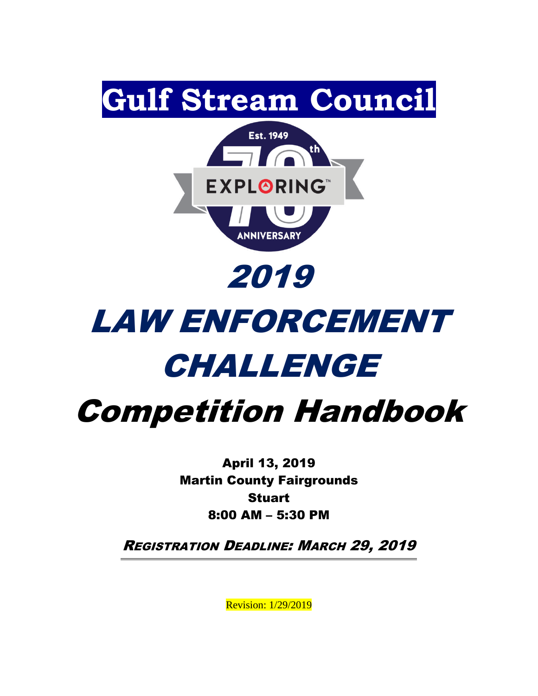

# LAW ENFORCEMENT CHALLENGE

# Competition Handbook

April 13, 2019 Martin County Fairgrounds Stuart 8:00 AM – 5:30 PM

REGISTRATION DEADLINE: MARCH 29, 2019

Revision: 1/29/2019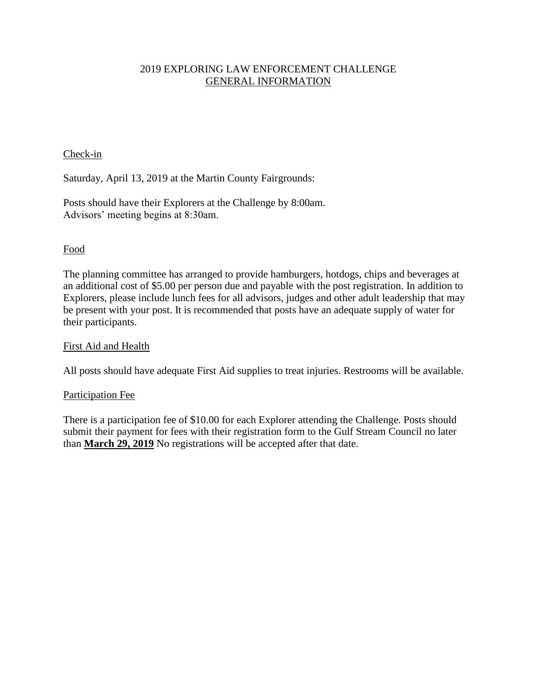#### 2019 EXPLORING LAW ENFORCEMENT CHALLENGE GENERAL INFORMATION

#### Check-in

Saturday, April 13, 2019 at the Martin County Fairgrounds:

Posts should have their Explorers at the Challenge by 8:00am. Advisors' meeting begins at 8:30am.

#### Food

The planning committee has arranged to provide hamburgers, hotdogs, chips and beverages at an additional cost of \$5.00 per person due and payable with the post registration. In addition to Explorers, please include lunch fees for all advisors, judges and other adult leadership that may be present with your post. It is recommended that posts have an adequate supply of water for their participants.

#### First Aid and Health

All posts should have adequate First Aid supplies to treat injuries. Restrooms will be available.

#### Participation Fee

There is a participation fee of \$10.00 for each Explorer attending the Challenge. Posts should submit their payment for fees with their registration form to the Gulf Stream Council no later than **March 29, 2019** No registrations will be accepted after that date.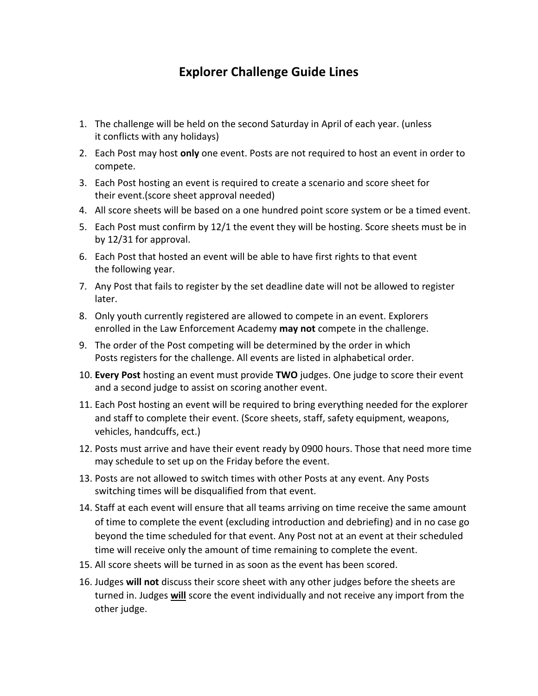# **Explorer Challenge Guide Lines**

- 1. The challenge will be held on the second Saturday in April of each year. (unless it conflicts with any holidays)
- 2. Each Post may host **only** one event. Posts are not required to host an event in order to compete.
- 3. Each Post hosting an event is required to create a scenario and score sheet for their event.(score sheet approval needed)
- 4. All score sheets will be based on a one hundred point score system or be a timed event.
- 5. Each Post must confirm by 12/1 the event they will be hosting. Score sheets must be in by 12/31 for approval.
- 6. Each Post that hosted an event will be able to have first rights to that event the following year.
- 7. Any Post that fails to register by the set deadline date will not be allowed to register later.
- 8. Only youth currently registered are allowed to compete in an event. Explorers enrolled in the Law Enforcement Academy **may not** compete in the challenge.
- 9. The order of the Post competing will be determined by the order in which Posts registers for the challenge. All events are listed in alphabetical order.
- 10. **Every Post** hosting an event must provide **TWO** judges. One judge to score their event and a second judge to assist on scoring another event.
- 11. Each Post hosting an event will be required to bring everything needed for the explorer and staff to complete their event. (Score sheets, staff, safety equipment, weapons, vehicles, handcuffs, ect.)
- 12. Posts must arrive and have their event ready by 0900 hours. Those that need more time may schedule to set up on the Friday before the event.
- 13. Posts are not allowed to switch times with other Posts at any event. Any Posts switching times will be disqualified from that event.
- 14. Staff at each event will ensure that all teams arriving on time receive the same amount of time to complete the event (excluding introduction and debriefing) and in no case go beyond the time scheduled for that event. Any Post not at an event at their scheduled time will receive only the amount of time remaining to complete the event.
- 15. All score sheets will be turned in as soon as the event has been scored.
- 16. Judges **will not** discuss their score sheet with any other judges before the sheets are turned in. Judges **will** score the event individually and not receive any import from the other judge.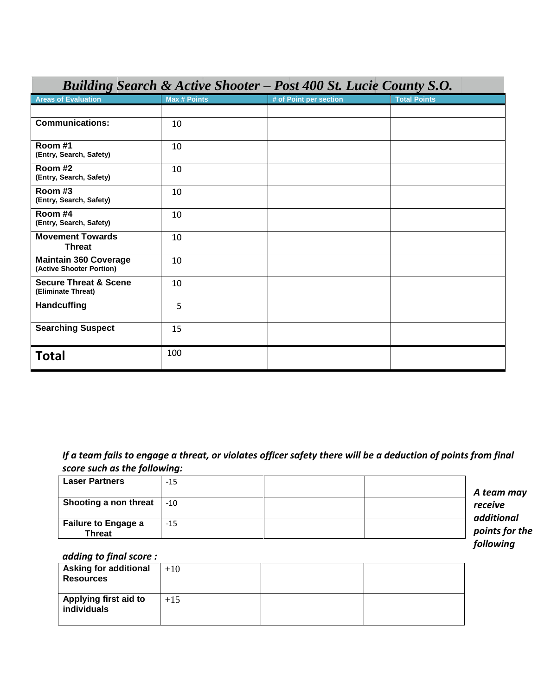| <b>Dunaing Search <math>\alpha</math> Active Shooter – I ost 400 St. Lucle County S.O.</b> |                     |                        |                     |
|--------------------------------------------------------------------------------------------|---------------------|------------------------|---------------------|
| <b>Areas of Evaluation</b>                                                                 | <b>Max # Points</b> | # of Point per section | <b>Total Points</b> |
|                                                                                            |                     |                        |                     |
| <b>Communications:</b>                                                                     | 10                  |                        |                     |
| Room #1<br>(Entry, Search, Safety)                                                         | 10                  |                        |                     |
| Room #2<br>(Entry, Search, Safety)                                                         | 10                  |                        |                     |
| Room #3<br>(Entry, Search, Safety)                                                         | 10                  |                        |                     |
| Room #4<br>(Entry, Search, Safety)                                                         | 10                  |                        |                     |
| <b>Movement Towards</b><br><b>Threat</b>                                                   | 10                  |                        |                     |
| <b>Maintain 360 Coverage</b><br>(Active Shooter Portion)                                   | 10                  |                        |                     |
| <b>Secure Threat &amp; Scene</b><br>(Eliminate Threat)                                     | 10                  |                        |                     |
| <b>Handcuffing</b>                                                                         | 5                   |                        |                     |
| <b>Searching Suspect</b>                                                                   | 15                  |                        |                     |
| <b>Total</b>                                                                               | 100                 |                        |                     |

### *Building Search & Active Shooter – Post 400 St. Lucie County S.O.*

*If a team fails to engage a threat, or violates officer safety there will be a deduction of points from final score such as the following:*

| <b>Laser Partners</b>                       | $-15$ |                            |
|---------------------------------------------|-------|----------------------------|
|                                             |       | A team ma                  |
| Shooting a non threat                       | $-10$ | receive                    |
| <b>Failure to Engage a</b><br><b>Threat</b> | $-15$ | additional<br>points for t |

*A team may points for the following* 

#### *adding to final score :*

| <b>Asking for additional</b><br><b>Resources</b> | $+10$ |  |
|--------------------------------------------------|-------|--|
| Applying first aid to<br>individuals             | $+15$ |  |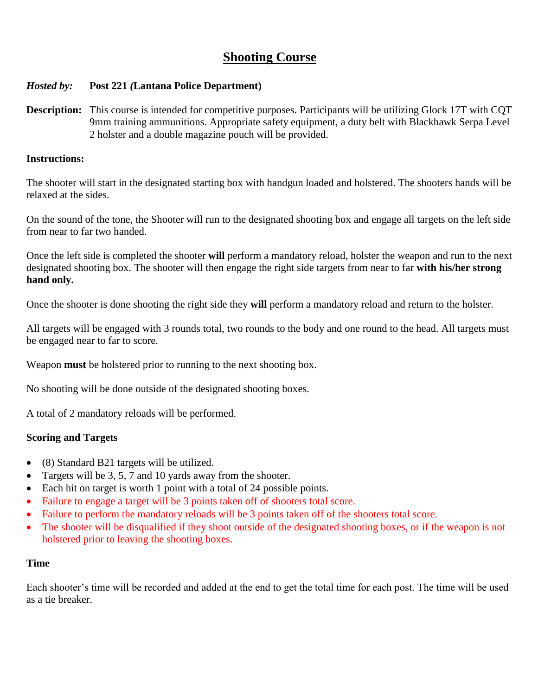# **Shooting Course**

#### *Hosted by:* **Post 221** *(***Lantana Police Department)**

**Description:** This course is intended for competitive purposes. Participants will be utilizing Glock 17T with CQT 9mm training ammunitions. Appropriate safety equipment, a duty belt with Blackhawk Serpa Level 2 holster and a double magazine pouch will be provided.

#### **Instructions:**

The shooter will start in the designated starting box with handgun loaded and holstered. The shooters hands will be relaxed at the sides.

On the sound of the tone, the Shooter will run to the designated shooting box and engage all targets on the left side from near to far two handed.

Once the left side is completed the shooter **will** perform a mandatory reload, holster the weapon and run to the next designated shooting box. The shooter will then engage the right side targets from near to far **with his/her strong hand only.**

Once the shooter is done shooting the right side they **will** perform a mandatory reload and return to the holster.

All targets will be engaged with 3 rounds total, two rounds to the body and one round to the head. All targets must be engaged near to far to score.

Weapon **must** be holstered prior to running to the next shooting box.

No shooting will be done outside of the designated shooting boxes.

A total of 2 mandatory reloads will be performed.

#### **Scoring and Targets**

- (8) Standard B21 targets will be utilized.
- Targets will be 3, 5, 7 and 10 yards away from the shooter.
- Each hit on target is worth 1 point with a total of 24 possible points.
- Failure to engage a target will be 3 points taken off of shooters total score.
- Failure to perform the mandatory reloads will be 3 points taken off of the shooters total score.
- The shooter will be disqualified if they shoot outside of the designated shooting boxes, or if the weapon is not holstered prior to leaving the shooting boxes.

#### **Time**

Each shooter's time will be recorded and added at the end to get the total time for each post. The time will be used as a tie breaker.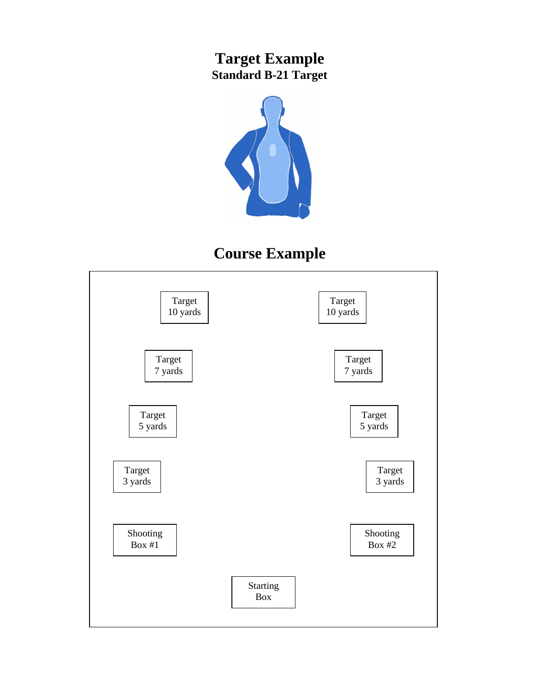# **Target Example Standard B-21 Target**



# **Course Example**

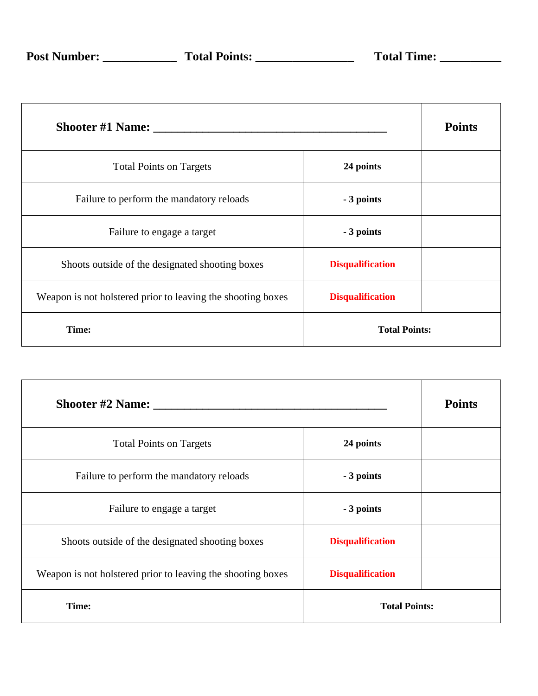|                                                             |                         | <b>Points</b> |
|-------------------------------------------------------------|-------------------------|---------------|
| <b>Total Points on Targets</b>                              | 24 points               |               |
| Failure to perform the mandatory reloads                    | - 3 points              |               |
| Failure to engage a target                                  | - 3 points              |               |
| Shoots outside of the designated shooting boxes             | <b>Disqualification</b> |               |
| Weapon is not holstered prior to leaving the shooting boxes | <b>Disqualification</b> |               |
| Time:                                                       | <b>Total Points:</b>    |               |

| Shooter #2 Name:                                            |                         | <b>Points</b> |
|-------------------------------------------------------------|-------------------------|---------------|
| <b>Total Points on Targets</b>                              | 24 points               |               |
| Failure to perform the mandatory reloads                    | - 3 points              |               |
| Failure to engage a target                                  | - 3 points              |               |
| Shoots outside of the designated shooting boxes             | <b>Disqualification</b> |               |
| Weapon is not holstered prior to leaving the shooting boxes | <b>Disqualification</b> |               |
| Time:                                                       | <b>Total Points:</b>    |               |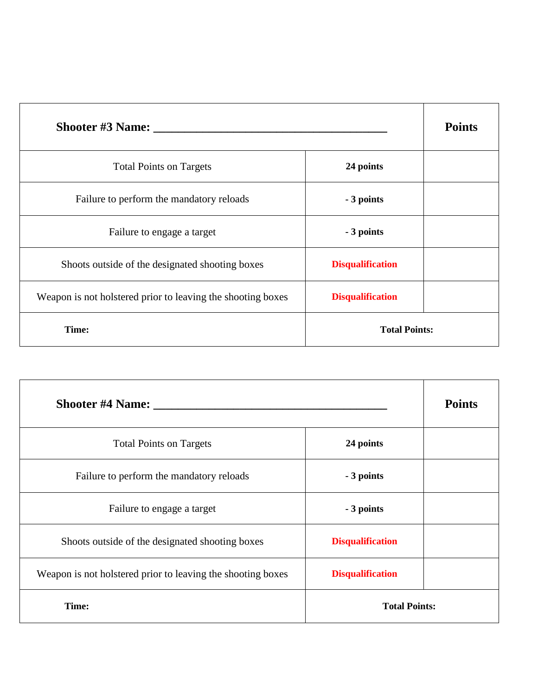| <b>Shooter #3 Name:</b>                                     |                         | <b>Points</b> |
|-------------------------------------------------------------|-------------------------|---------------|
| <b>Total Points on Targets</b>                              | 24 points               |               |
| Failure to perform the mandatory reloads                    | - 3 points              |               |
| Failure to engage a target                                  | - 3 points              |               |
| Shoots outside of the designated shooting boxes             | <b>Disqualification</b> |               |
| Weapon is not holstered prior to leaving the shooting boxes | <b>Disqualification</b> |               |
| Time:                                                       | <b>Total Points:</b>    |               |

| Shooter #4 Name: ____                                       |                         | <b>Points</b> |
|-------------------------------------------------------------|-------------------------|---------------|
| <b>Total Points on Targets</b>                              | 24 points               |               |
| Failure to perform the mandatory reloads                    | - 3 points              |               |
| Failure to engage a target                                  | - 3 points              |               |
| Shoots outside of the designated shooting boxes             | <b>Disqualification</b> |               |
| Weapon is not holstered prior to leaving the shooting boxes | <b>Disqualification</b> |               |
| Time:                                                       | <b>Total Points:</b>    |               |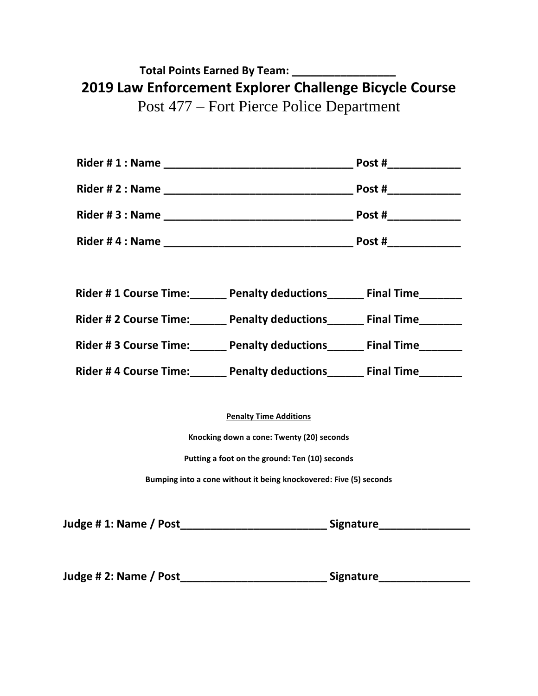# **Total Points Earned By Team: \_\_\_\_\_\_\_\_\_\_\_\_\_\_\_\_\_ 2019 Law Enforcement Explorer Challenge Bicycle Course** Post 477 – Fort Pierce Police Department

**Rider # 1 : Name \_\_\_\_\_\_\_\_\_\_\_\_\_\_\_\_\_\_\_\_\_\_\_\_\_\_\_\_\_\_\_ Post #\_\_\_\_\_\_\_\_\_\_\_\_ Rider # 2 : Name \_\_\_\_\_\_\_\_\_\_\_\_\_\_\_\_\_\_\_\_\_\_\_\_\_\_\_\_\_\_\_ Post #\_\_\_\_\_\_\_\_\_\_\_\_ Rider # 3 : Name \_\_\_\_\_\_\_\_\_\_\_\_\_\_\_\_\_\_\_\_\_\_\_\_\_\_\_\_\_\_\_ Post #\_\_\_\_\_\_\_\_\_\_\_\_ Rider # 4 : Name \_\_\_\_\_\_\_\_\_\_\_\_\_\_\_\_\_\_\_\_\_\_\_\_\_\_\_\_\_\_\_ Post #\_\_\_\_\_\_\_\_\_\_\_\_ Rider # 1 Course Time:\_\_\_\_\_\_ Penalty deductions\_\_\_\_\_\_ Final Time\_\_\_\_\_\_\_ Rider # 2 Course Time:\_\_\_\_\_\_ Penalty deductions\_\_\_\_\_\_ Final Time\_\_\_\_\_\_\_ Rider # 3 Course Time:\_\_\_\_\_\_ Penalty deductions\_\_\_\_\_\_ Final Time\_\_\_\_\_\_\_** Rider # 4 Course Time: Penalty deductions Final Time

**Penalty Time Additions**

**Knocking down a cone: Twenty (20) seconds**

**Putting a foot on the ground: Ten (10) seconds**

**Bumping into a cone without it being knockovered: Five (5) seconds**

| Judge #1: Name / Post | <b>Signature</b> |
|-----------------------|------------------|
|                       |                  |
|                       |                  |

**Judge # 2: Name / Post\_\_\_\_\_\_\_\_\_\_\_\_\_\_\_\_\_\_\_\_\_\_\_\_ Signature\_\_\_\_\_\_\_\_\_\_\_\_\_\_\_**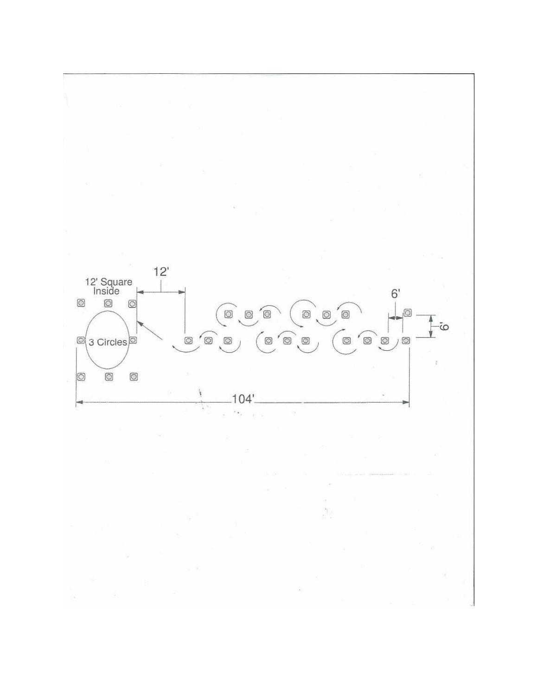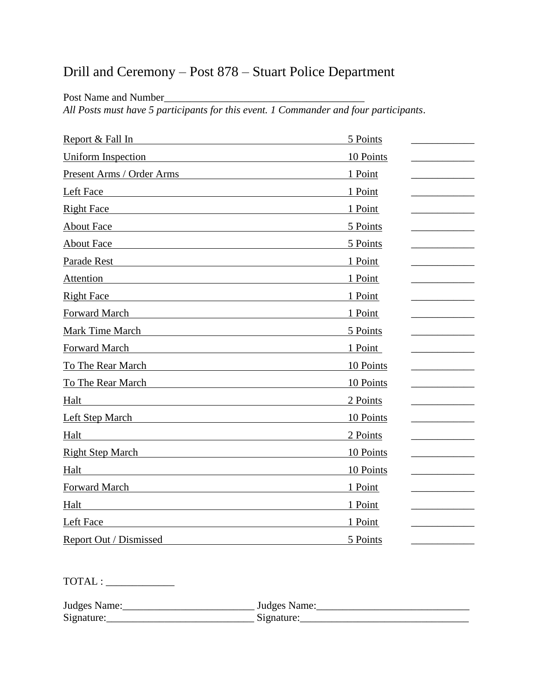# Drill and Ceremony – Post 878 – Stuart Police Department

Post Name and Number

*All Posts must have 5 participants for this event. 1 Commander and four participants*.

| Report & Fall In                                                                                                                                                                                                                             | 5 Points  |
|----------------------------------------------------------------------------------------------------------------------------------------------------------------------------------------------------------------------------------------------|-----------|
| <b>Uniform Inspection</b>                                                                                                                                                                                                                    | 10 Points |
| Present Arms / Order Arms                                                                                                                                                                                                                    | 1 Point   |
| Left Face                                                                                                                                                                                                                                    | 1 Point   |
| <b>Right Face</b>                                                                                                                                                                                                                            | 1 Point   |
| <b>About Face</b>                                                                                                                                                                                                                            | 5 Points  |
| <b>About Face</b>                                                                                                                                                                                                                            | 5 Points  |
| Parade Rest                                                                                                                                                                                                                                  | 1 Point   |
| Attention                                                                                                                                                                                                                                    | 1 Point   |
| <b>Right Face</b>                                                                                                                                                                                                                            | 1 Point   |
| Forward March                                                                                                                                                                                                                                | 1 Point   |
| <b>Mark Time March</b>                                                                                                                                                                                                                       | 5 Points  |
| <b>Forward March</b>                                                                                                                                                                                                                         | 1 Point   |
| To The Rear March                                                                                                                                                                                                                            | 10 Points |
| To The Rear March                                                                                                                                                                                                                            | 10 Points |
| Halt<br><u>and the state of the state of the state of the state of the state of the state of the state of the state of the state of the state of the state of the state of the state of the state of the state of the state of the state</u> | 2 Points  |
| Left Step March                                                                                                                                                                                                                              | 10 Points |
| Halt                                                                                                                                                                                                                                         | 2 Points  |
| <b>Right Step March</b>                                                                                                                                                                                                                      | 10 Points |
| Halt                                                                                                                                                                                                                                         | 10 Points |
| <b>Forward March</b>                                                                                                                                                                                                                         | 1 Point   |
| Halt                                                                                                                                                                                                                                         | 1 Point   |
| Left Face                                                                                                                                                                                                                                    | 1 Point   |
| Report Out / Dismissed                                                                                                                                                                                                                       | 5 Points  |

TOTAL : \_\_\_\_\_\_\_\_\_\_\_\_\_

Judges Name:\_\_\_\_\_\_\_\_\_\_\_\_\_\_\_\_\_\_\_\_\_\_\_\_\_ Judges Name:\_\_\_\_\_\_\_\_\_\_\_\_\_\_\_\_\_\_\_\_\_\_\_\_\_\_\_\_\_  $Signature:$   $\qquad \qquad$   $\qquad \qquad$   $\qquad \qquad$   $\qquad \qquad$   $\qquad \qquad$   $\qquad \qquad$   $\qquad \qquad$   $\qquad \qquad$   $\qquad \qquad$   $\qquad \qquad$   $\qquad \qquad$   $\qquad \qquad$   $\qquad \qquad$   $\qquad \qquad$   $\qquad \qquad$   $\qquad \qquad$   $\qquad \qquad$   $\qquad \qquad$   $\qquad \qquad$   $\qquad \qquad$   $\qquad \qquad$   $\qquad \qquad$   $\qquad \qquad$   $\qquad \qquad$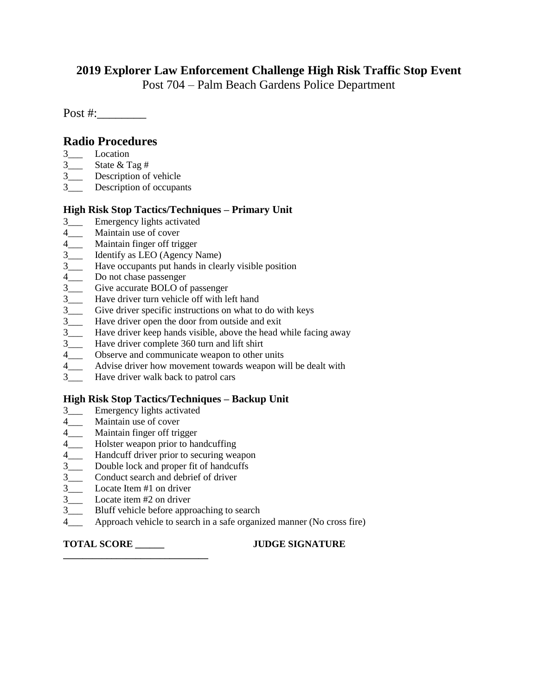#### **2019 Explorer Law Enforcement Challenge High Risk Traffic Stop Event**

Post 704 – Palm Beach Gardens Police Department

Post #:

#### **Radio Procedures**

- 3\_\_\_ Location
- 3\_\_\_ State & Tag #
- 3\_\_\_ Description of vehicle
- 3\_\_\_ Description of occupants

#### **High Risk Stop Tactics/Techniques – Primary Unit**

- 3\_\_\_ Emergency lights activated
- 4\_\_\_ Maintain use of cover<br>4 Maintain finger off tri
- 
- 4\_\_\_ Maintain finger off trigger<br>3 dentify as LEO (Agency N Identify as LEO (Agency Name)
- 3\_\_\_ Have occupants put hands in clearly visible position<br>4 Do not chase passenger
- Do not chase passenger
- 3\_\_\_ Give accurate BOLO of passenger
- 3\_\_\_ Have driver turn vehicle off with left hand
- 3\_\_\_ Give driver specific instructions on what to do with keys
- 3\_\_\_ Have driver open the door from outside and exit
- 3\_\_\_ Have driver keep hands visible, above the head while facing away<br>3 Have driver complete 360 turn and lift shirt
- Have driver complete 360 turn and lift shirt
- 
- 4\_\_\_ Observe and communicate weapon to other units<br>4 Advise driver how movement towards weapon w Advise driver how movement towards weapon will be dealt with
- 3\_\_\_ Have driver walk back to patrol cars

#### **High Risk Stop Tactics/Techniques – Backup Unit**

- 3\_\_\_ Emergency lights activated
- 4\_\_\_ Maintain use of cover
- 4\_\_\_ Maintain finger off trigger
- 4\_\_\_ Holster weapon prior to handcuffing
- 4\_\_\_ Handcuff driver prior to securing weapon
- 3\_\_\_ Double lock and proper fit of handcuffs
- 3 \_ Conduct search and debrief of driver
- 3\_\_\_ Locate Item #1 on driver
- 3\_\_\_ Locate item #2 on driver
- 3\_\_\_ Bluff vehicle before approaching to search
- 4\_\_\_ Approach vehicle to search in a safe organized manner (No cross fire)

**\_\_\_\_\_\_\_\_\_\_\_\_\_\_\_\_\_\_\_\_\_\_\_\_\_\_\_\_\_\_**

**TOTAL SCORE \_\_\_\_\_\_ JUDGE SIGNATURE**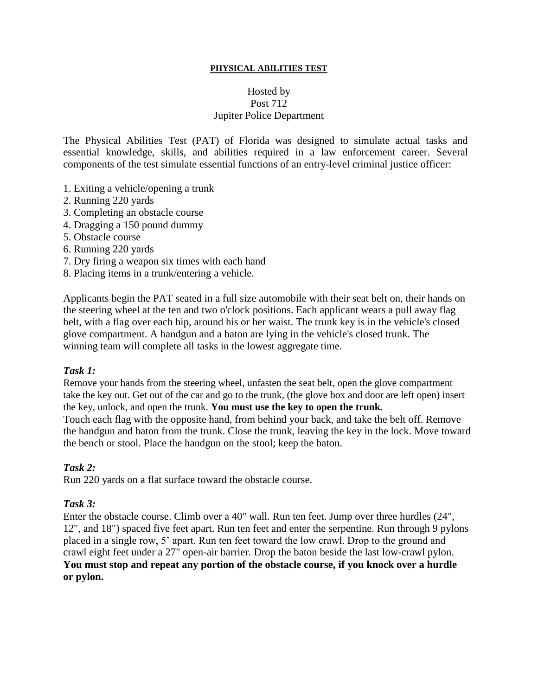#### **PHYSICAL ABILITIES TEST**

#### Hosted by Post 712 Jupiter Police Department

The Physical Abilities Test (PAT) of Florida was designed to simulate actual tasks and essential knowledge, skills, and abilities required in a law enforcement career. Several components of the test simulate essential functions of an entry-level criminal justice officer:

- 1. Exiting a vehicle/opening a trunk
- 2. Running 220 yards
- 3. Completing an obstacle course
- 4. Dragging a 150 pound dummy
- 5. Obstacle course
- 6. Running 220 yards
- 7. Dry firing a weapon six times with each hand
- 8. Placing items in a trunk/entering a vehicle.

Applicants begin the PAT seated in a full size automobile with their seat belt on, their hands on the steering wheel at the ten and two o'clock positions. Each applicant wears a pull away flag belt, with a flag over each hip, around his or her waist. The trunk key is in the vehicle's closed glove compartment. A handgun and a baton are lying in the vehicle's closed trunk. The winning team will complete all tasks in the lowest aggregate time.

#### *Task 1:*

Remove your hands from the steering wheel, unfasten the seat belt, open the glove compartment take the key out. Get out of the car and go to the trunk, (the glove box and door are left open) insert the key, unlock, and open the trunk. **You must use the key to open the trunk.**

Touch each flag with the opposite hand, from behind your back, and take the belt off. Remove the handgun and baton from the trunk. Close the trunk, leaving the key in the lock. Move toward the bench or stool. Place the handgun on the stool; keep the baton.

#### *Task 2:*

Run 220 yards on a flat surface toward the obstacle course.

#### *Task 3:*

Enter the obstacle course. Climb over a 40" wall. Run ten feet. Jump over three hurdles (24", 12", and 18") spaced five feet apart. Run ten feet and enter the serpentine. Run through 9 pylons placed in a single row, 5' apart. Run ten feet toward the low crawl. Drop to the ground and crawl eight feet under a 27" open-air barrier. Drop the baton beside the last low-crawl pylon. **You must stop and repeat any portion of the obstacle course, if you knock over a hurdle or pylon.**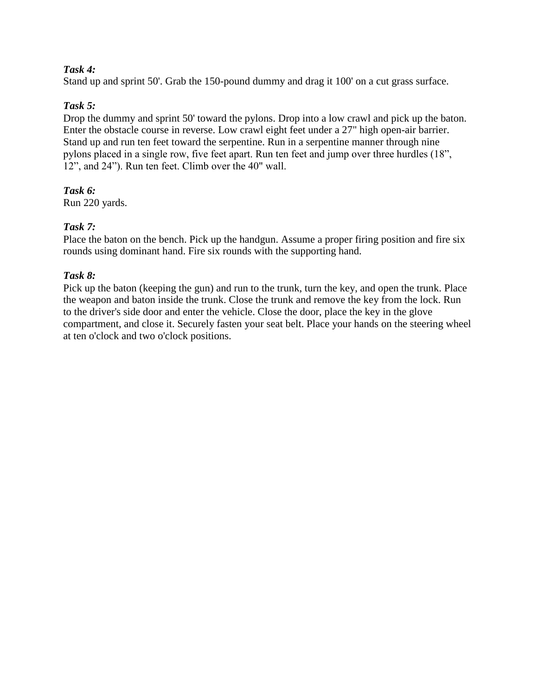#### *Task 4:*

Stand up and sprint 50'. Grab the 150-pound dummy and drag it 100' on a cut grass surface.

#### *Task 5:*

Drop the dummy and sprint 50' toward the pylons. Drop into a low crawl and pick up the baton. Enter the obstacle course in reverse. Low crawl eight feet under a 27" high open-air barrier. Stand up and run ten feet toward the serpentine. Run in a serpentine manner through nine pylons placed in a single row, five feet apart. Run ten feet and jump over three hurdles (18", 12", and 24"). Run ten feet. Climb over the 40" wall.

#### *Task 6:*

Run 220 yards.

#### *Task 7:*

Place the baton on the bench. Pick up the handgun. Assume a proper firing position and fire six rounds using dominant hand. Fire six rounds with the supporting hand.

#### *Task 8:*

Pick up the baton (keeping the gun) and run to the trunk, turn the key, and open the trunk. Place the weapon and baton inside the trunk. Close the trunk and remove the key from the lock. Run to the driver's side door and enter the vehicle. Close the door, place the key in the glove compartment, and close it. Securely fasten your seat belt. Place your hands on the steering wheel at ten o'clock and two o'clock positions.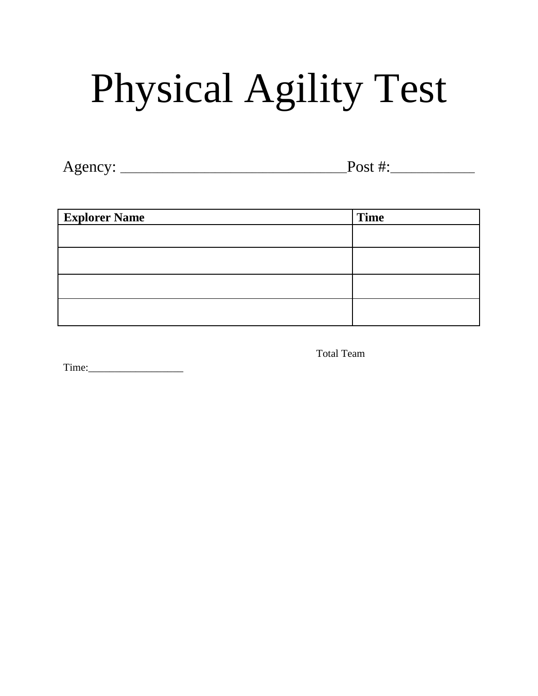# Physical Agility Test

Agency: \_\_\_\_\_\_\_\_\_\_\_\_\_\_\_\_\_\_\_\_\_\_\_\_\_\_\_\_\_\_\_\_\_\_\_\_\_\_\_\_\_\_\_Post #:\_\_\_\_\_\_\_\_\_\_\_\_\_\_\_\_

| <b>Explorer Name</b> | <b>Time</b> |
|----------------------|-------------|
|                      |             |
|                      |             |
|                      |             |
|                      |             |

Total Team

Time: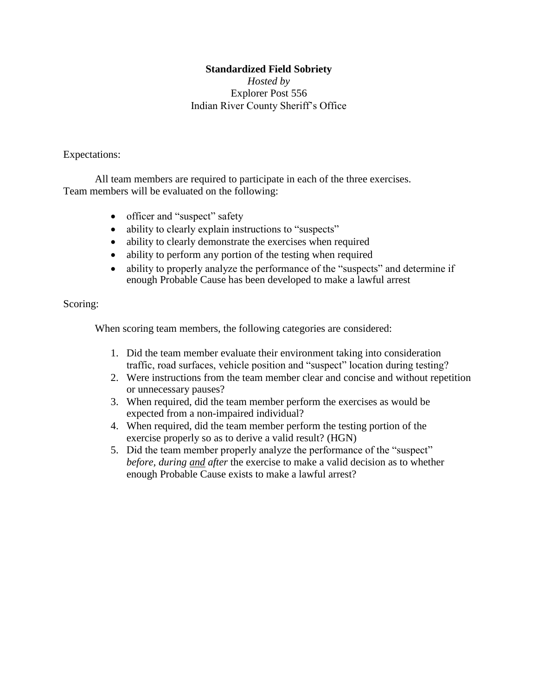#### **Standardized Field Sobriety**

*Hosted by* Explorer Post 556 Indian River County Sheriff's Office

#### Expectations:

All team members are required to participate in each of the three exercises. Team members will be evaluated on the following:

- officer and "suspect" safety
- ability to clearly explain instructions to "suspects"
- ability to clearly demonstrate the exercises when required
- ability to perform any portion of the testing when required
- ability to properly analyze the performance of the "suspects" and determine if enough Probable Cause has been developed to make a lawful arrest

#### Scoring:

When scoring team members, the following categories are considered:

- 1. Did the team member evaluate their environment taking into consideration traffic, road surfaces, vehicle position and "suspect" location during testing?
- 2. Were instructions from the team member clear and concise and without repetition or unnecessary pauses?
- 3. When required, did the team member perform the exercises as would be expected from a non-impaired individual?
- 4. When required, did the team member perform the testing portion of the exercise properly so as to derive a valid result? (HGN)
- 5. Did the team member properly analyze the performance of the "suspect" *before, during and after* the exercise to make a valid decision as to whether enough Probable Cause exists to make a lawful arrest?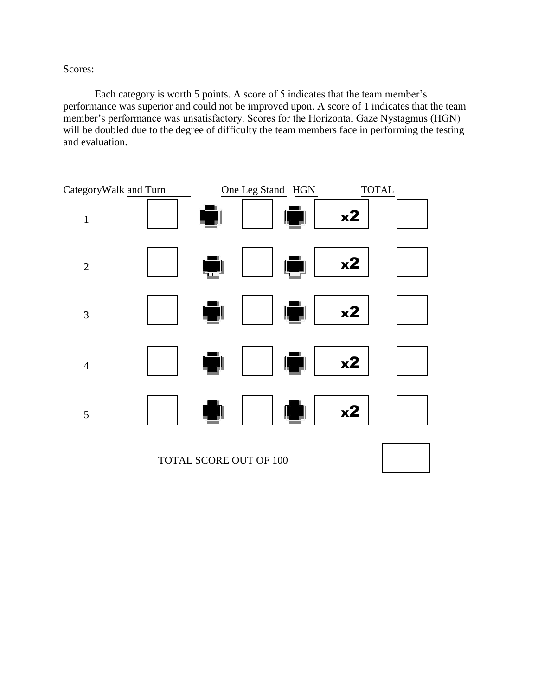Scores:

Each category is worth 5 points. A score of 5 indicates that the team member's performance was superior and could not be improved upon. A score of 1 indicates that the team member's performance was unsatisfactory. Scores for the Horizontal Gaze Nystagmus (HGN) will be doubled due to the degree of difficulty the team members face in performing the testing and evaluation.

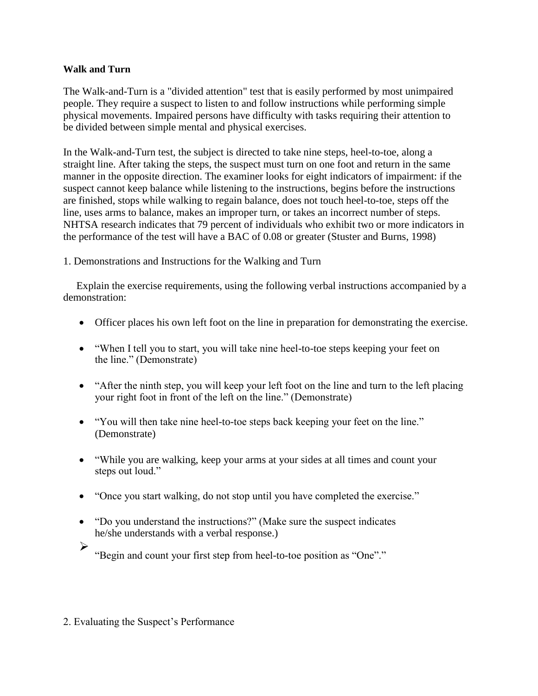#### **Walk and Turn**

The Walk-and-Turn is a "divided attention" test that is easily performed by most unimpaired people. They require a suspect to listen to and follow instructions while performing simple physical movements. Impaired persons have difficulty with tasks requiring their attention to be divided between simple mental and physical exercises.

In the Walk-and-Turn test, the subject is directed to take nine steps, heel-to-toe, along a straight line. After taking the steps, the suspect must turn on one foot and return in the same manner in the opposite direction. The examiner looks for eight indicators of impairment: if the suspect cannot keep balance while listening to the instructions, begins before the instructions are finished, stops while walking to regain balance, does not touch heel-to-toe, steps off the line, uses arms to balance, makes an improper turn, or takes an incorrect number of steps. NHTSA research indicates that 79 percent of individuals who exhibit two or more indicators in the performance of the test will have a BAC of 0.08 or greater (Stuster and Burns, 1998)

#### 1. Demonstrations and Instructions for the Walking and Turn

Explain the exercise requirements, using the following verbal instructions accompanied by a demonstration:

- Officer places his own left foot on the line in preparation for demonstrating the exercise.
- "When I tell you to start, you will take nine heel-to-toe steps keeping your feet on the line." (Demonstrate)
- "After the ninth step, you will keep your left foot on the line and turn to the left placing your right foot in front of the left on the line." (Demonstrate)
- "You will then take nine heel-to-toe steps back keeping your feet on the line." (Demonstrate)
- "While you are walking, keep your arms at your sides at all times and count your steps out loud."
- "Once you start walking, do not stop until you have completed the exercise."
- "Do you understand the instructions?" (Make sure the suspect indicates he/she understands with a verbal response.)
- ➢

"Begin and count your first step from heel-to-toe position as "One"."

#### 2. Evaluating the Suspect's Performance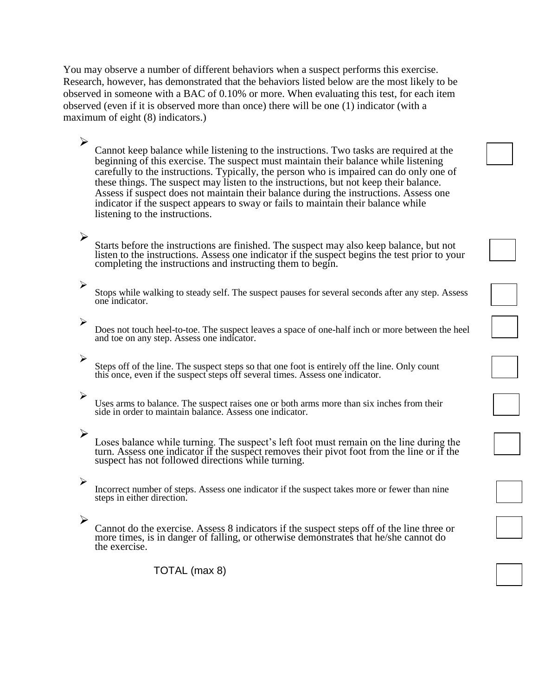You may observe a number of different behaviors when a suspect performs this exercise. Research, however, has demonstrated that the behaviors listed below are the most likely to be observed in someone with a BAC of 0.10% or more. When evaluating this test, for each item observed (even if it is observed more than once) there will be one (1) indicator (with a maximum of eight (8) indicators.)

Cannot keep balance while listening to the instructions. Two tasks are required at the beginning of this exercise. The suspect must maintain their balance while listening carefully to the instructions. Typically, the person who is impaired can do only one of these things. The suspect may listen to the instructions, but not keep their balance. Assess if suspect does not maintain their balance during the instructions. Assess one indicator if the suspect appears to sway or fails to maintain their balance while listening to the instructions.

#### ➢

➢

Starts before the instructions are finished. The suspect may also keep balance, but not listen to the instructions. Assess one indicator if the suspect begins the test prior to your completing the instructions and instructing them to begin.

#### ➢

Stops while walking to steady self. The suspect pauses for several seconds after any step. Assess one indicator.

#### ➢

Does not touch heel-to-toe. The suspect leaves a space of one-half inch or more between the heel and toe on any step. Assess one indicator.

#### ➢

Steps off of the line. The suspect steps so that one foot is entirely off the line. Only count this once, even if the suspect steps off several times. Assess one indicator.

#### ➢

Uses arms to balance. The suspect raises one or both arms more than six inches from their side in order to maintain balance. Assess one indicator.

#### ➢

Loses balance while turning. The suspect's left foot must remain on the line during the turn. Assess one indicator if the suspect removes their pivot foot from the line or if the suspect has not followed directions while turning.

#### ➢

Incorrect number of steps. Assess one indicator if the suspect takes more or fewer than nine steps in either direction.

#### ➢

Cannot do the exercise. Assess 8 indicators if the suspect steps off of the line three or more times, is in danger of falling, or otherwise demonstrates that he/she cannot do the exercise.

TOTAL (max 8)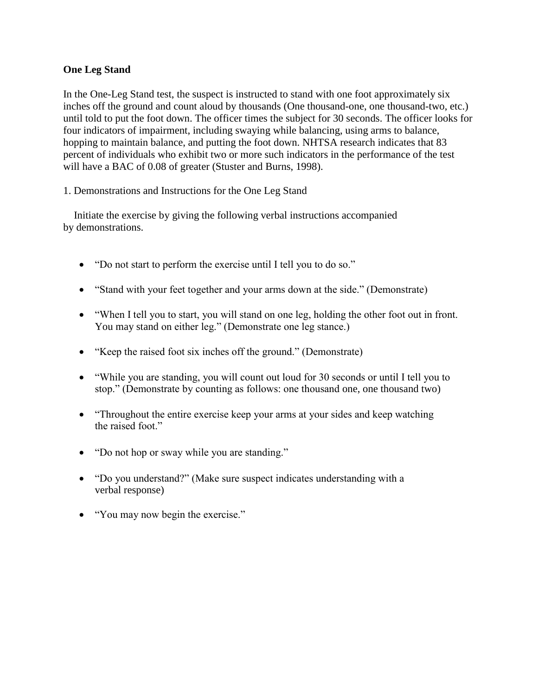#### **One Leg Stand**

In the One-Leg Stand test, the suspect is instructed to stand with one foot approximately six inches off the ground and count aloud by thousands (One thousand-one, one thousand-two, etc.) until told to put the foot down. The officer times the subject for 30 seconds. The officer looks for four indicators of impairment, including swaying while balancing, using arms to balance, hopping to maintain balance, and putting the foot down. NHTSA research indicates that 83 percent of individuals who exhibit two or more such indicators in the performance of the test will have a BAC of 0.08 of greater (Stuster and Burns, 1998).

1. Demonstrations and Instructions for the One Leg Stand

Initiate the exercise by giving the following verbal instructions accompanied by demonstrations.

- "Do not start to perform the exercise until I tell you to do so."
- "Stand with your feet together and your arms down at the side." (Demonstrate)
- "When I tell you to start, you will stand on one leg, holding the other foot out in front. You may stand on either leg." (Demonstrate one leg stance.)
- "Keep the raised foot six inches off the ground." (Demonstrate)
- "While you are standing, you will count out loud for 30 seconds or until I tell you to stop." (Demonstrate by counting as follows: one thousand one, one thousand two)
- "Throughout the entire exercise keep your arms at your sides and keep watching the raised foot."
- "Do not hop or sway while you are standing."
- "Do you understand?" (Make sure suspect indicates understanding with a verbal response)
- "You may now begin the exercise."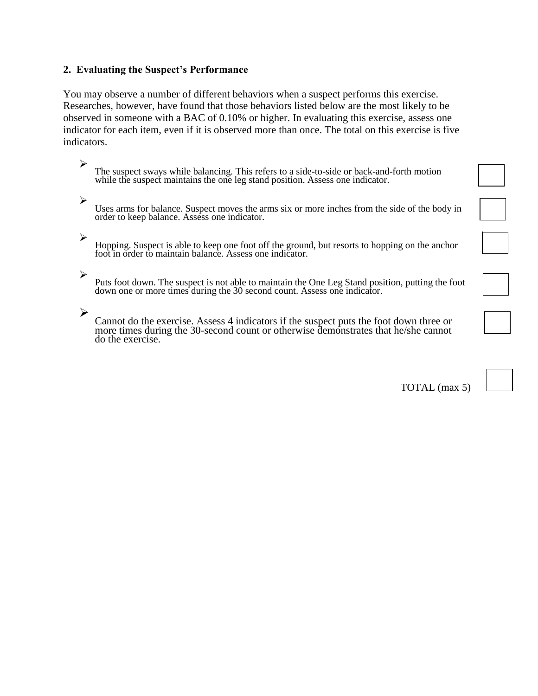#### **2. Evaluating the Suspect's Performance**

You may observe a number of different behaviors when a suspect performs this exercise. Researches, however, have found that those behaviors listed below are the most likely to be observed in someone with a BAC of 0.10% or higher. In evaluating this exercise, assess one indicator for each item, even if it is observed more than once. The total on this exercise is five indicators.

- ➢ The suspect sways while balancing. This refers to a side-to-side or back-and-forth motion while the suspect maintains the one leg stand position. Assess one indicator.
- ➢ Uses arms for balance. Suspect moves the arms six or more inches from the side of the body in order to keep balance. Assess one indicator.
- ➢
- Hopping. Suspect is able to keep one foot off the ground, but resorts to hopping on the anchor foot in order to maintain balance. Assess one indicator.
- ➢

Puts foot down. The suspect is not able to maintain the One Leg Stand position, putting the foot down one or more times during the 30 second count. Assess one indicator.

➢

Cannot do the exercise. Assess 4 indicators if the suspect puts the foot down three or more times during the 30-second count or otherwise demonstrates that he/she cannot do the exercise.

TOTAL (max 5)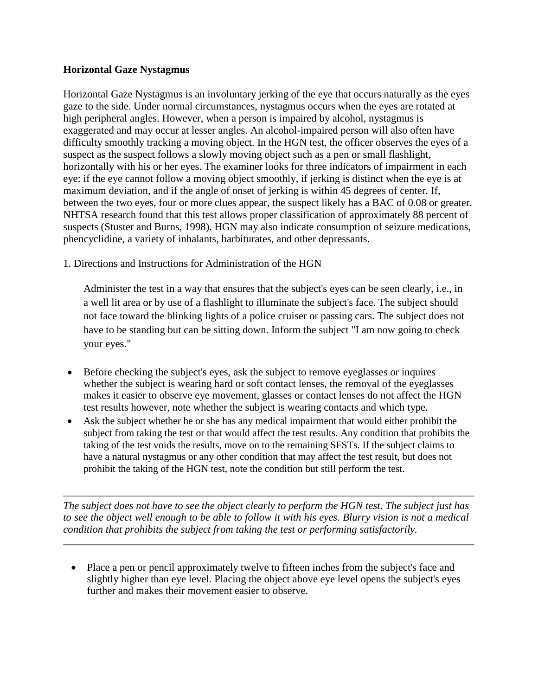#### **Horizontal Gaze Nystagmus**

Horizontal Gaze Nystagmus is an involuntary jerking of the eye that occurs naturally as the eyes gaze to the side. Under normal circumstances, nystagmus occurs when the eyes are rotated at high peripheral angles. However, when a person is impaired by alcohol, nystagmus is exaggerated and may occur at lesser angles. An alcohol-impaired person will also often have difficulty smoothly tracking a moving object. In the HGN test, the officer observes the eyes of a suspect as the suspect follows a slowly moving object such as a pen or small flashlight, horizontally with his or her eyes. The examiner looks for three indicators of impairment in each eye: if the eye cannot follow a moving object smoothly, if jerking is distinct when the eye is at maximum deviation, and if the angle of onset of jerking is within 45 degrees of center. If, between the two eyes, four or more clues appear, the suspect likely has a BAC of 0.08 or greater. NHTSA research found that this test allows proper classification of approximately 88 percent of suspects (Stuster and Burns, 1998). HGN may also indicate consumption of seizure medications, phencyclidine, a variety of inhalants, barbiturates, and other depressants.

1. Directions and Instructions for Administration of the HGN

Administer the test in a way that ensures that the subject's eyes can be seen clearly, i.e., in a well lit area or by use of a flashlight to illuminate the subject's face. The subject should not face toward the blinking lights of a police cruiser or passing cars. The subject does not have to be standing but can be sitting down. Inform the subject "I am now going to check your eyes."

- Before checking the subject's eyes, ask the subject to remove eyeglasses or inquires whether the subject is wearing hard or soft contact lenses, the removal of the eyeglasses makes it easier to observe eye movement, glasses or contact lenses do not affect the HGN test results however, note whether the subject is wearing contacts and which type.
- Ask the subject whether he or she has any medical impairment that would either prohibit the subject from taking the test or that would affect the test results. Any condition that prohibits the taking of the test voids the results, move on to the remaining SFSTs. If the subject claims to have a natural nystagmus or any other condition that may affect the test result, but does not prohibit the taking of the HGN test, note the condition but still perform the test.

*The subject does not have to see the object clearly to perform the HGN test. The subject just has to see the object well enough to be able to follow it with his eyes. Blurry vision is not a medical condition that prohibits the subject from taking the test or performing satisfactorily.*

• Place a pen or pencil approximately twelve to fifteen inches from the subject's face and slightly higher than eye level. Placing the object above eye level opens the subject's eyes further and makes their movement easier to observe.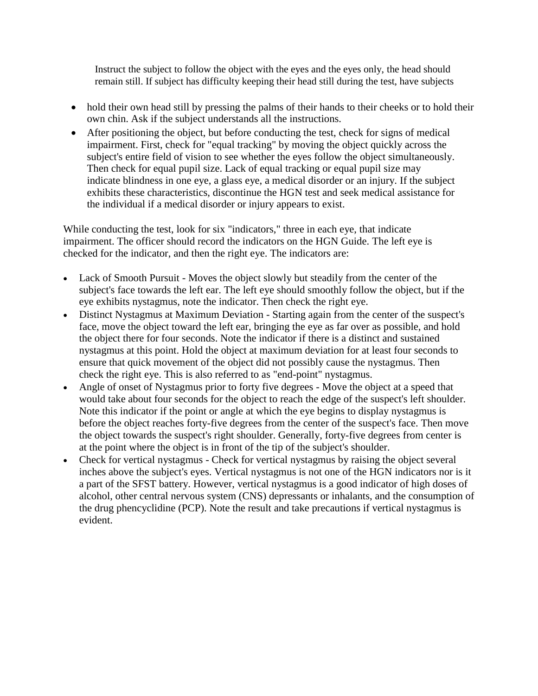Instruct the subject to follow the object with the eyes and the eyes only, the head should remain still. If subject has difficulty keeping their head still during the test, have subjects

- hold their own head still by pressing the palms of their hands to their cheeks or to hold their own chin. Ask if the subject understands all the instructions.
- After positioning the object, but before conducting the test, check for signs of medical impairment. First, check for "equal tracking" by moving the object quickly across the subject's entire field of vision to see whether the eyes follow the object simultaneously. Then check for equal pupil size. Lack of equal tracking or equal pupil size may indicate blindness in one eye, a glass eye, a medical disorder or an injury. If the subject exhibits these characteristics, discontinue the HGN test and seek medical assistance for the individual if a medical disorder or injury appears to exist.

While conducting the test, look for six "indicators," three in each eye, that indicate impairment. The officer should record the indicators on the HGN Guide. The left eye is checked for the indicator, and then the right eye. The indicators are:

- Lack of Smooth Pursuit Moves the object slowly but steadily from the center of the subject's face towards the left ear. The left eye should smoothly follow the object, but if the eye exhibits nystagmus, note the indicator. Then check the right eye.
- Distinct Nystagmus at Maximum Deviation Starting again from the center of the suspect's face, move the object toward the left ear, bringing the eye as far over as possible, and hold the object there for four seconds. Note the indicator if there is a distinct and sustained nystagmus at this point. Hold the object at maximum deviation for at least four seconds to ensure that quick movement of the object did not possibly cause the nystagmus. Then check the right eye. This is also referred to as "end-point" nystagmus.
- Angle of onset of Nystagmus prior to forty five degrees Move the object at a speed that would take about four seconds for the object to reach the edge of the suspect's left shoulder. Note this indicator if the point or angle at which the eye begins to display nystagmus is before the object reaches forty-five degrees from the center of the suspect's face. Then move the object towards the suspect's right shoulder. Generally, forty-five degrees from center is at the point where the object is in front of the tip of the subject's shoulder.
- Check for vertical nystagmus Check for vertical nystagmus by raising the object several inches above the subject's eyes. Vertical nystagmus is not one of the HGN indicators nor is it a part of the SFST battery. However, vertical nystagmus is a good indicator of high doses of alcohol, other central nervous system (CNS) depressants or inhalants, and the consumption of the drug phencyclidine (PCP). Note the result and take precautions if vertical nystagmus is evident.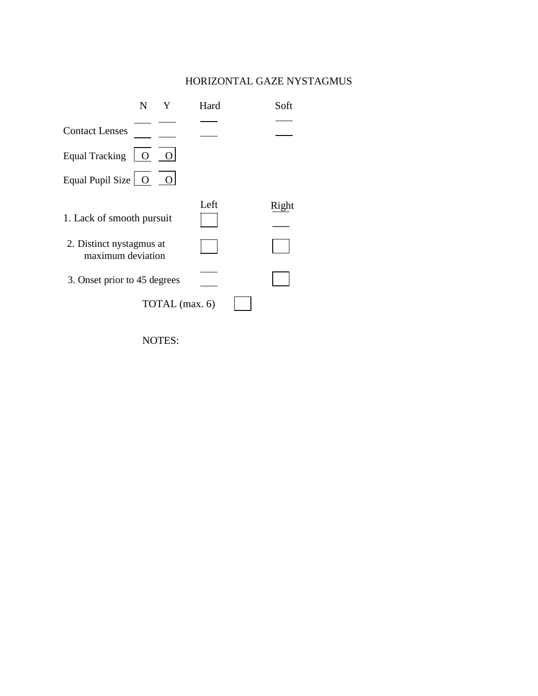#### HORIZONTAL GAZE NYSTAGMUS



NOTES: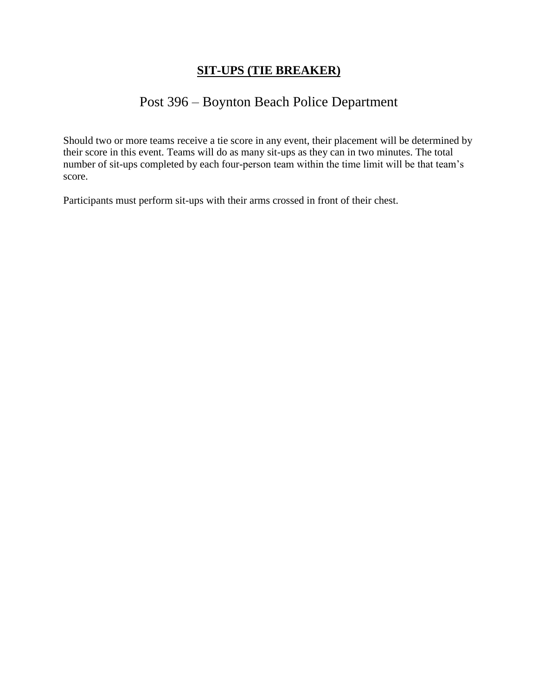### **SIT-UPS (TIE BREAKER)**

# Post 396 – Boynton Beach Police Department

Should two or more teams receive a tie score in any event, their placement will be determined by their score in this event. Teams will do as many sit-ups as they can in two minutes. The total number of sit-ups completed by each four-person team within the time limit will be that team's score.

Participants must perform sit-ups with their arms crossed in front of their chest.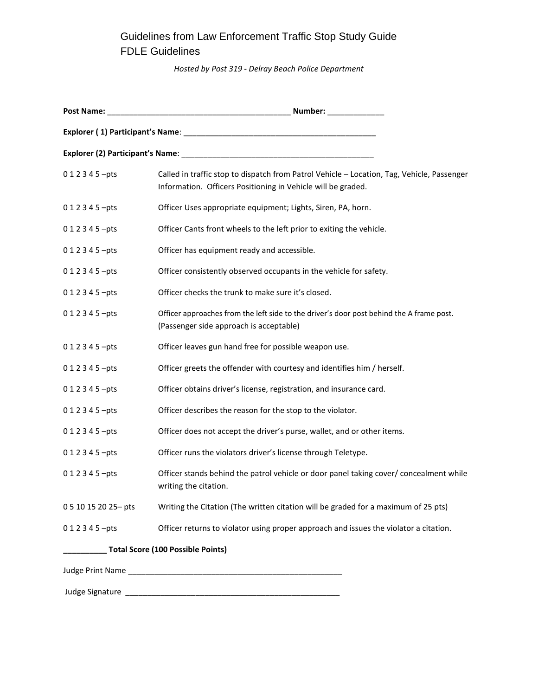# Guidelines from Law Enforcement Traffic Stop Study Guide FDLE Guidelines

*Hosted by Post 319 - Delray Beach Police Department*

| 0 1 2 3 4 5 -pts                         | Called in traffic stop to dispatch from Patrol Vehicle - Location, Tag, Vehicle, Passenger<br>Information. Officers Positioning in Vehicle will be graded. |
|------------------------------------------|------------------------------------------------------------------------------------------------------------------------------------------------------------|
| 0 1 2 3 4 5 -pts                         | Officer Uses appropriate equipment; Lights, Siren, PA, horn.                                                                                               |
| 0 1 2 3 4 5 -pts                         | Officer Cants front wheels to the left prior to exiting the vehicle.                                                                                       |
| 0 1 2 3 4 5 -pts                         | Officer has equipment ready and accessible.                                                                                                                |
| 0 1 2 3 4 5 -pts                         | Officer consistently observed occupants in the vehicle for safety.                                                                                         |
| 0 1 2 3 4 5 -pts                         | Officer checks the trunk to make sure it's closed.                                                                                                         |
| 0 1 2 3 4 5 -pts                         | Officer approaches from the left side to the driver's door post behind the A frame post.<br>(Passenger side approach is acceptable)                        |
| 0 1 2 3 4 5 -pts                         | Officer leaves gun hand free for possible weapon use.                                                                                                      |
| 0 1 2 3 4 5 -pts                         | Officer greets the offender with courtesy and identifies him / herself.                                                                                    |
| 0 1 2 3 4 5 -pts                         | Officer obtains driver's license, registration, and insurance card.                                                                                        |
| 0 1 2 3 4 5 -pts                         | Officer describes the reason for the stop to the violator.                                                                                                 |
| 0 1 2 3 4 5 -pts                         | Officer does not accept the driver's purse, wallet, and or other items.                                                                                    |
| 0 1 2 3 4 5 -pts                         | Officer runs the violators driver's license through Teletype.                                                                                              |
| 0 1 2 3 4 5 -pts                         | Officer stands behind the patrol vehicle or door panel taking cover/ concealment while<br>writing the citation.                                            |
| 0 5 10 15 20 25 - pts                    | Writing the Citation (The written citation will be graded for a maximum of 25 pts)                                                                         |
| 0 1 2 3 4 5 - pts                        | Officer returns to violator using proper approach and issues the violator a citation.                                                                      |
| <b>Total Score (100 Possible Points)</b> |                                                                                                                                                            |
|                                          |                                                                                                                                                            |
|                                          |                                                                                                                                                            |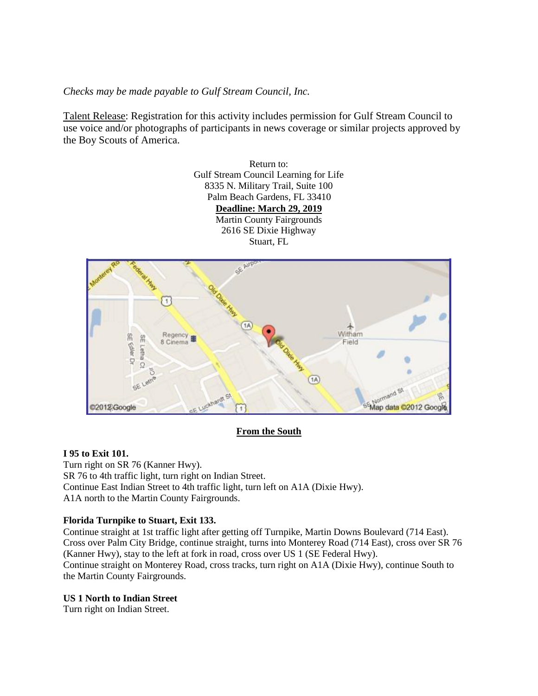*Checks may be made payable to Gulf Stream Council, Inc.*

Talent Release: Registration for this activity includes permission for Gulf Stream Council to use voice and/or photographs of participants in news coverage or similar projects approved by the Boy Scouts of America.

> Return to: Gulf Stream Council Learning for Life 8335 N. Military Trail, Suite 100 Palm Beach Gardens, FL 33410 **Deadline: March 29, 2019** Martin County Fairgrounds 2616 SE Dixie Highway Stuart, FL



**From the South**

#### **I 95 to Exit 101.**

Turn right on SR 76 (Kanner Hwy). SR 76 to 4th traffic light, turn right on Indian Street. Continue East Indian Street to 4th traffic light, turn left on A1A (Dixie Hwy). A1A north to the Martin County Fairgrounds.

#### **Florida Turnpike to Stuart, Exit 133.**

Continue straight at 1st traffic light after getting off Turnpike, Martin Downs Boulevard (714 East). Cross over Palm City Bridge, continue straight, turns into Monterey Road (714 East), cross over SR 76 (Kanner Hwy), stay to the left at fork in road, cross over US 1 (SE Federal Hwy). Continue straight on Monterey Road, cross tracks, turn right on A1A (Dixie Hwy), continue South to the Martin County Fairgrounds.

#### **US 1 North to Indian Street**

Turn right on Indian Street.